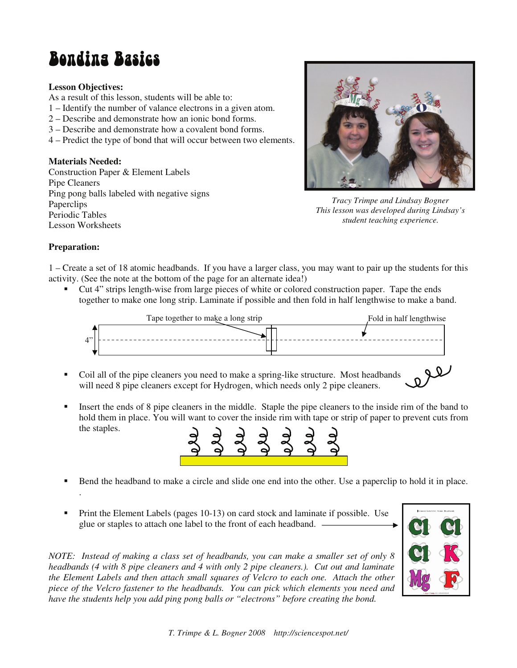# **Bondina Basics**

#### **Lesson Objectives:**

As a result of this lesson, students will be able to:

- 1 Identify the number of valance electrons in a given atom.
- 2 Describe and demonstrate how an ionic bond forms.
- 3 Describe and demonstrate how a covalent bond forms.
- 4 Predict the type of bond that will occur between two elements.

### **Materials Needed:**

Construction Paper & Element Labels Pipe Cleaners Ping pong balls labeled with negative signs Paperclips Periodic Tables Lesson Worksheets



*Tracy Trimpe and Lindsay Bogner This lesson was developed during Lindsay's student teaching experience.* 

#### **Preparation:**

1 – Create a set of 18 atomic headbands. If you have a larger class, you may want to pair up the students for this activity. (See the note at the bottom of the page for an alternate idea!)

 Cut 4" strips length-wise from large pieces of white or colored construction paper. Tape the ends together to make one long strip. Laminate if possible and then fold in half lengthwise to make a band.



- Coil all of the pipe cleaners you need to make a spring-like structure. Most headbands will need 8 pipe cleaners except for Hydrogen, which needs only 2 pipe cleaners.
- Insert the ends of 8 pipe cleaners in the middle. Staple the pipe cleaners to the inside rim of the band to hold them in place. You will want to cover the inside rim with tape or strip of paper to prevent cuts from the staples.



- Bend the headband to make a circle and slide one end into the other. Use a paperclip to hold it in place. .
- Print the Element Labels (pages 10-13) on card stock and laminate if possible. Use glue or staples to attach one label to the front of each headband.

*NOTE: Instead of making a class set of headbands, you can make a smaller set of only 8 headbands (4 with 8 pipe cleaners and 4 with only 2 pipe cleaners.). Cut out and laminate the Element Labels and then attach small squares of Velcro to each one. Attach the other piece of the Velcro fastener to the headbands. You can pick which elements you need and have the students help you add ping pong balls or "electrons" before creating the bond.* 



le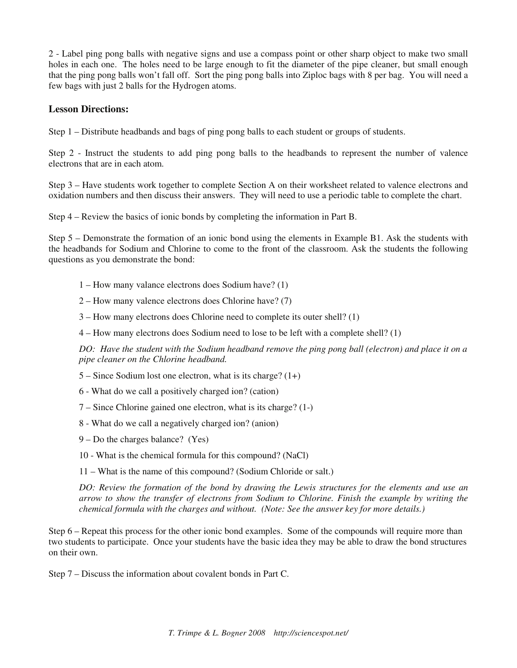2 - Label ping pong balls with negative signs and use a compass point or other sharp object to make two small holes in each one. The holes need to be large enough to fit the diameter of the pipe cleaner, but small enough that the ping pong balls won't fall off. Sort the ping pong balls into Ziploc bags with 8 per bag. You will need a few bags with just 2 balls for the Hydrogen atoms.

## **Lesson Directions:**

Step 1 – Distribute headbands and bags of ping pong balls to each student or groups of students.

Step 2 - Instruct the students to add ping pong balls to the headbands to represent the number of valence electrons that are in each atom.

Step 3 – Have students work together to complete Section A on their worksheet related to valence electrons and oxidation numbers and then discuss their answers. They will need to use a periodic table to complete the chart.

Step 4 – Review the basics of ionic bonds by completing the information in Part B.

Step 5 – Demonstrate the formation of an ionic bond using the elements in Example B1. Ask the students with the headbands for Sodium and Chlorine to come to the front of the classroom. Ask the students the following questions as you demonstrate the bond:

- 1 How many valance electrons does Sodium have? (1)
- 2 How many valence electrons does Chlorine have? (7)
- 3 How many electrons does Chlorine need to complete its outer shell? (1)
- 4 How many electrons does Sodium need to lose to be left with a complete shell? (1)

*DO: Have the student with the Sodium headband remove the ping pong ball (electron) and place it on a pipe cleaner on the Chlorine headband.* 

- $5 -$  Since Sodium lost one electron, what is its charge? (1+)
- 6 What do we call a positively charged ion? (cation)
- 7 Since Chlorine gained one electron, what is its charge? (1-)
- 8 What do we call a negatively charged ion? (anion)
- 9 Do the charges balance? (Yes)
- 10 What is the chemical formula for this compound? (NaCl)

11 – What is the name of this compound? (Sodium Chloride or salt.)

*DO: Review the formation of the bond by drawing the Lewis structures for the elements and use an arrow to show the transfer of electrons from Sodium to Chlorine. Finish the example by writing the chemical formula with the charges and without. (Note: See the answer key for more details.)* 

Step 6 – Repeat this process for the other ionic bond examples. Some of the compounds will require more than two students to participate. Once your students have the basic idea they may be able to draw the bond structures on their own.

Step 7 – Discuss the information about covalent bonds in Part C.